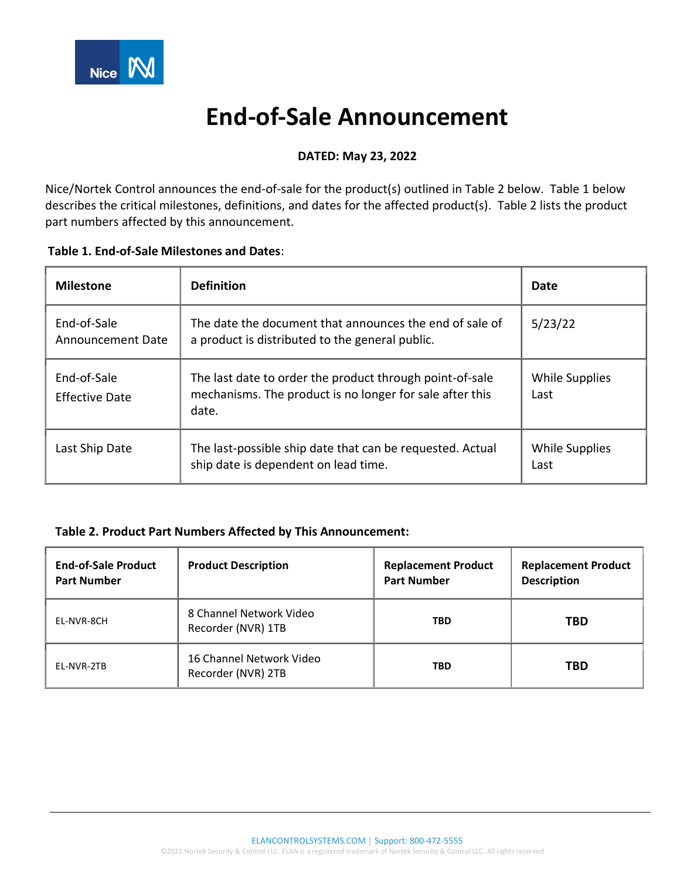

# **End-of-Sale Announcement**

## **DATED: May 23, 2022**

Nice/Nortek Control announces the end-of-sale for the product(s) outlined in Table 2 below. Table 1 below describes the critical milestones, definitions, and dates for the affected product(s). Table 2 lists the product part numbers affected by this announcement.

| <b>Milestone</b>                 | <b>Definition</b>                                                                                                             | Date                          |
|----------------------------------|-------------------------------------------------------------------------------------------------------------------------------|-------------------------------|
| End-of-Sale<br>Announcement Date | The date the document that announces the end of sale of<br>a product is distributed to the general public.                    | 5/23/22                       |
| End-of-Sale<br>Effective Date    | The last date to order the product through point-of-sale<br>mechanisms. The product is no longer for sale after this<br>date. | While Supplies<br>Last        |
| Last Ship Date                   | The last-possible ship date that can be requested. Actual<br>ship date is dependent on lead time.                             | <b>While Supplies</b><br>Last |

### **Table 2. Product Part Numbers Affected by This Announcement:**

| <b>End-of-Sale Product</b><br><b>Part Number</b> | <b>Product Description</b>                     | <b>Replacement Product</b><br><b>Part Number</b> | <b>Replacement Product</b><br><b>Description</b> |
|--------------------------------------------------|------------------------------------------------|--------------------------------------------------|--------------------------------------------------|
| EL-NVR-8CH                                       | 8 Channel Network Video<br>Recorder (NVR) 1TB  | <b>TBD</b>                                       | <b>TBD</b>                                       |
| EL-NVR-2TB                                       | 16 Channel Network Video<br>Recorder (NVR) 2TB | <b>TBD</b>                                       | <b>TBD</b>                                       |